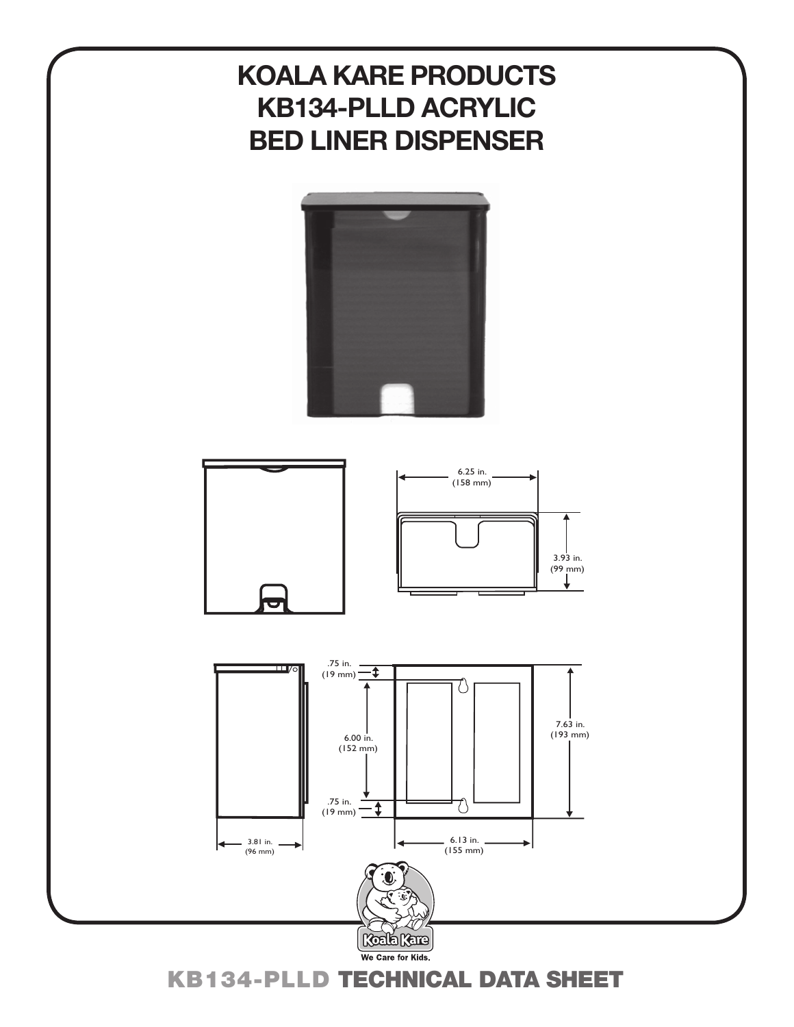# **KOALA KARE PRODUCTS KB134-PLLD ACRYLIC BED LINER DISPENSER**





KB134-plld TECHNICAL DATA SHEET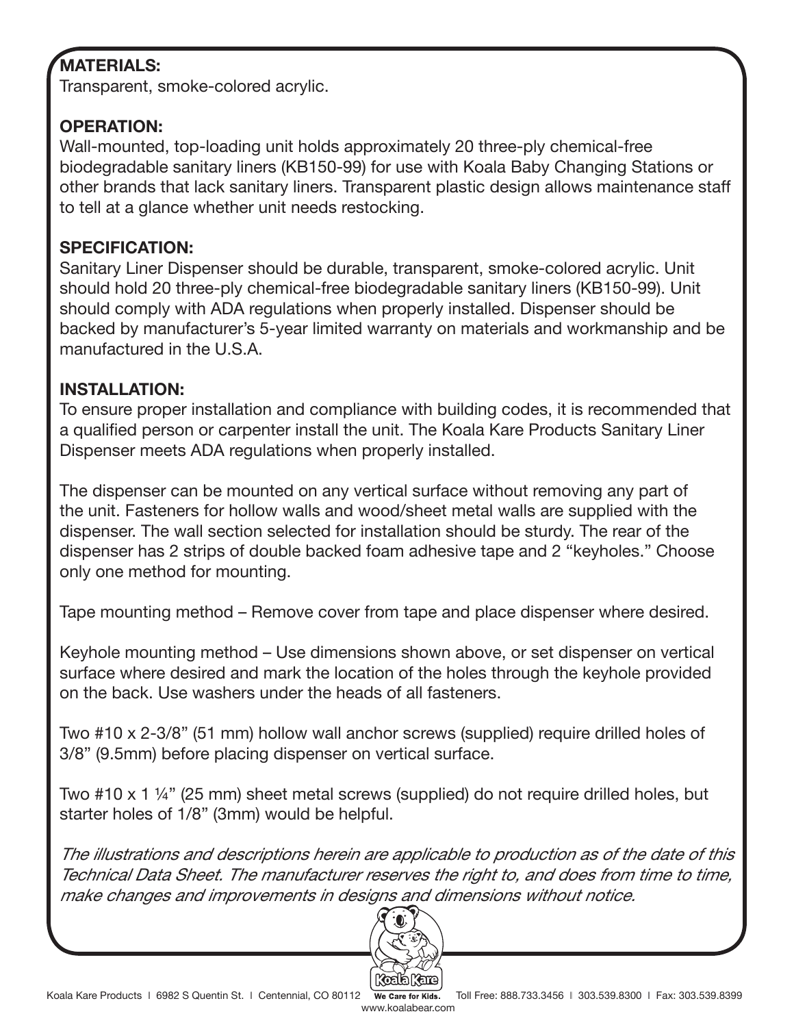## **MATERIALS:**

Transparent, smoke-colored acrylic.

### **OPERATION:**

Wall-mounted, top-loading unit holds approximately 20 three-ply chemical-free biodegradable sanitary liners (KB150-99) for use with Koala Baby Changing Stations or other brands that lack sanitary liners. Transparent plastic design allows maintenance staff to tell at a glance whether unit needs restocking.

#### **SPECIFICATION:**

Sanitary Liner Dispenser should be durable, transparent, smoke-colored acrylic. Unit should hold 20 three-ply chemical-free biodegradable sanitary liners (KB150-99). Unit should comply with ADA regulations when properly installed. Dispenser should be backed by manufacturer's 5-year limited warranty on materials and workmanship and be manufactured in the U.S.A.

### **INSTALLATION:**

To ensure proper installation and compliance with building codes, it is recommended that a qualified person or carpenter install the unit. The Koala Kare Products Sanitary Liner Dispenser meets ADA regulations when properly installed.

The dispenser can be mounted on any vertical surface without removing any part of the unit. Fasteners for hollow walls and wood/sheet metal walls are supplied with the dispenser. The wall section selected for installation should be sturdy. The rear of the dispenser has 2 strips of double backed foam adhesive tape and 2 "keyholes." Choose only one method for mounting.

Tape mounting method – Remove cover from tape and place dispenser where desired.

Keyhole mounting method – Use dimensions shown above, or set dispenser on vertical surface where desired and mark the location of the holes through the keyhole provided on the back. Use washers under the heads of all fasteners.

Two #10 x 2-3/8" (51 mm) hollow wall anchor screws (supplied) require drilled holes of 3/8" (9.5mm) before placing dispenser on vertical surface.

Two #10 x 1 ¼" (25 mm) sheet metal screws (supplied) do not require drilled holes, but starter holes of 1/8" (3mm) would be helpful.

The illustrations and descriptions herein are applicable to production as of the date of this Technical Data Sheet. The manufacturer reserves the right to, and does from time to time, make changes and improvements in designs and dimensions without notice.